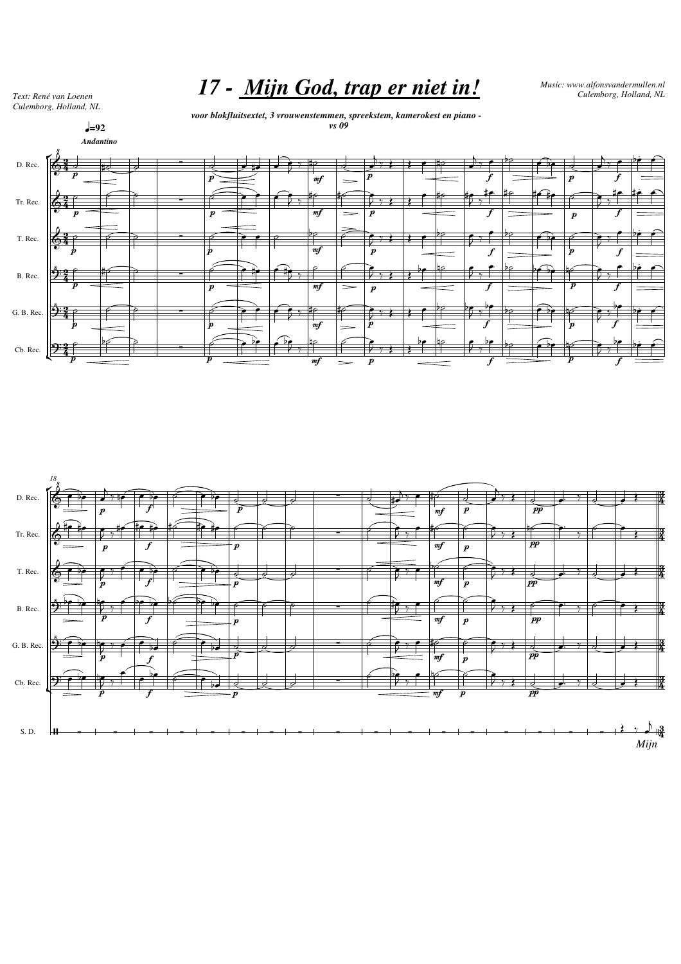*17 - Mijn God, trap er niet in! Music: www.alfonsvandermullen.nl Text: René van Loenen Culemborg, Holland, NL*

*Culemborg, Holland, NL*

*voor blokfluitsextet, 3 vrouwenstemmen, spreekstem, kamerokest en piano vs 09*



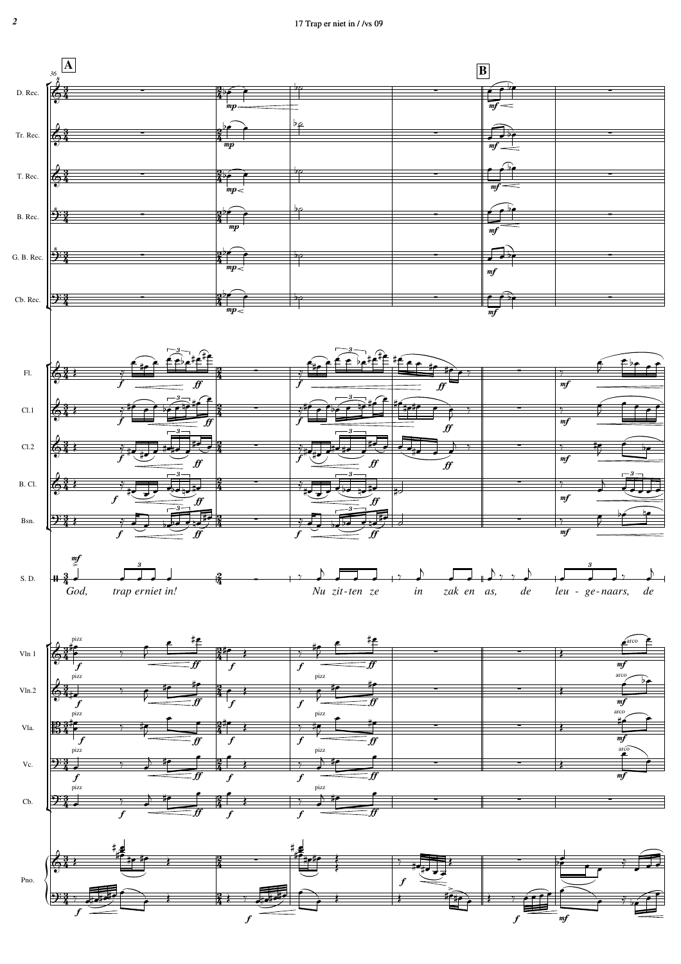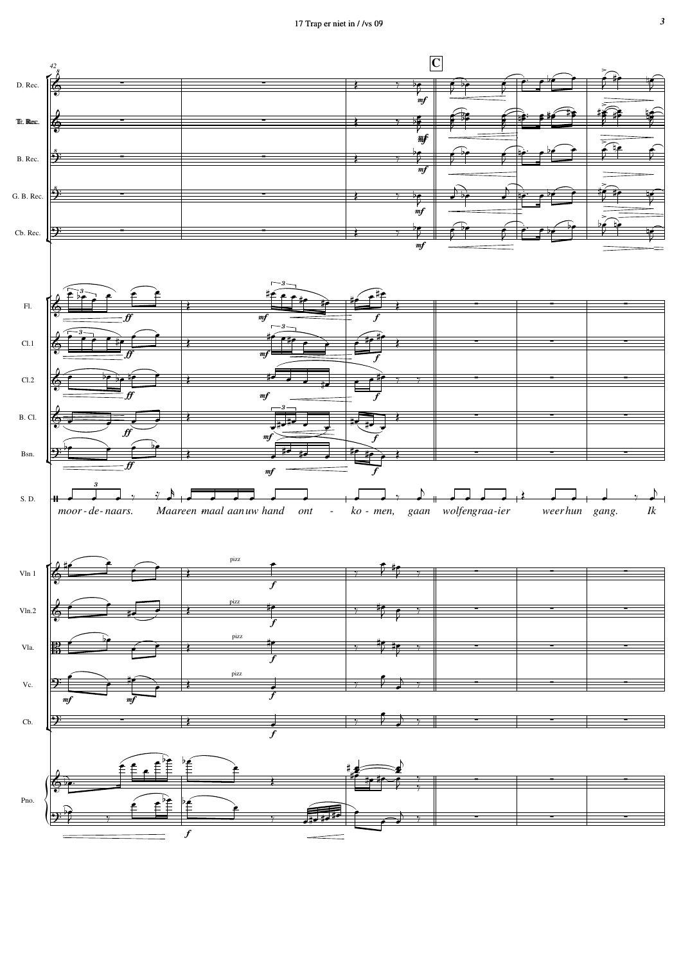